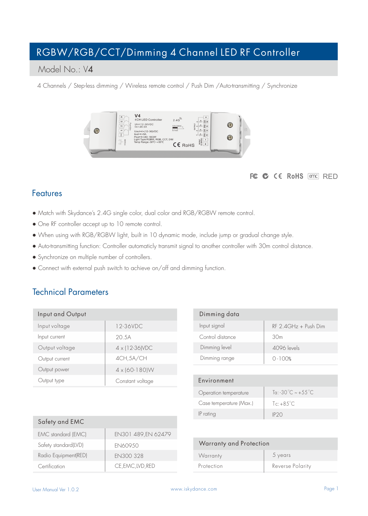# RGBW/RGB/CCT/Dimming 4 Channel LED RF Controller

## Model No.: V4

4 Channels / Step-less dimming / Wireless remote control / Push Dim /Auto-transmitting / Synchronize



### FC C CE RoHS email RED

## **Features**

- Match with Skydance's 2.4G single color, dual color and RGB/RGBW remote control.
- One RF controller accept up to 10 remote control.
- When using with RGB/RGBW light, built in 10 dynamic mode, include jump or gradual change style.
- Auto-transmitting function: Controller automaticly transmit signal to another controller with 30m control distance.
- Synchronize on multiple number of controllers.
- Connect with external push switch to achieve on/off and dimming function.

## Technical Parameters

| Input and Output |                                 |  |
|------------------|---------------------------------|--|
| Input voltage    | 12-36VDC                        |  |
| Input current    | 20.5A                           |  |
| Output voltage   | $4 \times (12 - 36) \text{VDC}$ |  |
| Output current   | 4CH, 5A/CH                      |  |
| Output power     | $4 \times 160 - 180)W$          |  |
| Output type      | Constant voltage                |  |

| Dimming data     |                        |
|------------------|------------------------|
| Input signal     | $RF 2 4GHz + Push Dim$ |
| Control distance | 30 <sub>m</sub>        |
| Dimming level    | 4096 levels            |
| Dimming range    | $0 - 100%$             |
|                  |                        |

| Environment             |                                             |
|-------------------------|---------------------------------------------|
| Operation temperature   | Ta: $-30^{\circ}$ C $\approx +55^{\circ}$ C |
| Case temperature (Max.) | $Tc: +8.5^{\circ}C$                         |
| IP rating               | IP2()                                       |

| Warranty and Protection |                  |  |
|-------------------------|------------------|--|
| Warranty                | 5 years          |  |
| Protection              | Reverse Polarity |  |

| Safety and EMC       |                     |                                |
|----------------------|---------------------|--------------------------------|
| EMC standard (EMC)   | EN301 489, EN 62479 |                                |
| Safety standard(LVD) | EN60950             | <b>Warranty and Protection</b> |
| Radio Equipment(RED) | EN300 328           | Warranty                       |
| Certification        | CE, EMC, LVD, RED   | Protection                     |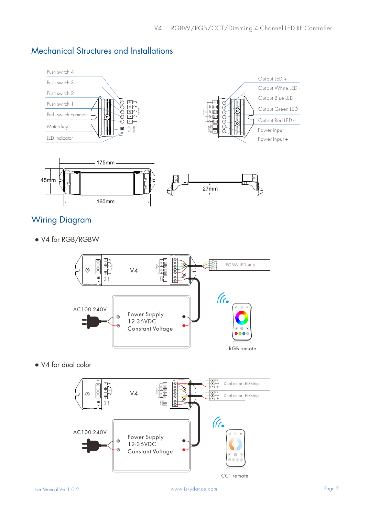

# Mechanical Structures and Installations

160mm

# Wiring Diagram

**●** V4 for RGB/RGBW



**●** V4 for dual color

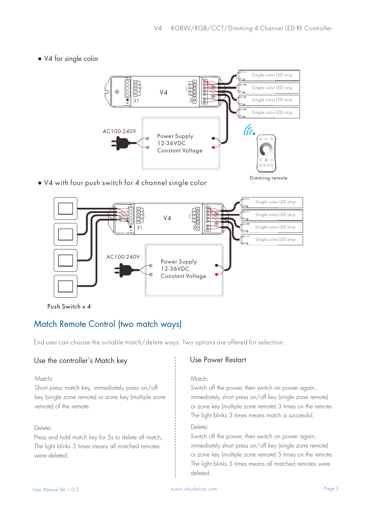**●** V4 for single color



#### **●** V4 with four push switch for 4 channel single color



Push Switch x 4

## Match Remote Control (two match ways)

End user can choose the suitable match/delete ways. Two options are offered for selection:

#### Use the controller's Match key

Match:

Short press match key, immediately press on/off key (single zone remote) or zone key (multiple zone remote) of the remote.

#### Delete:

Press and hold match key for 5s to delete all match, The light blinks 5 times means all matched remotes were deleted.

#### Use Power Restart

#### Match:

Switch off the power, then switch on power again, immediately short press on/off key (single zone remote) or zone key (multiple zone remote) 3 times on the remote. The light blinks 3 times means match is successful.

#### Delete:

. Switch off the power, then switch on power again, immediately short press on/off key (single zone remote) or zone key (multiple zone remote) 5 times on the remote. The light blinks 5 times means all matched remotes were deleted.